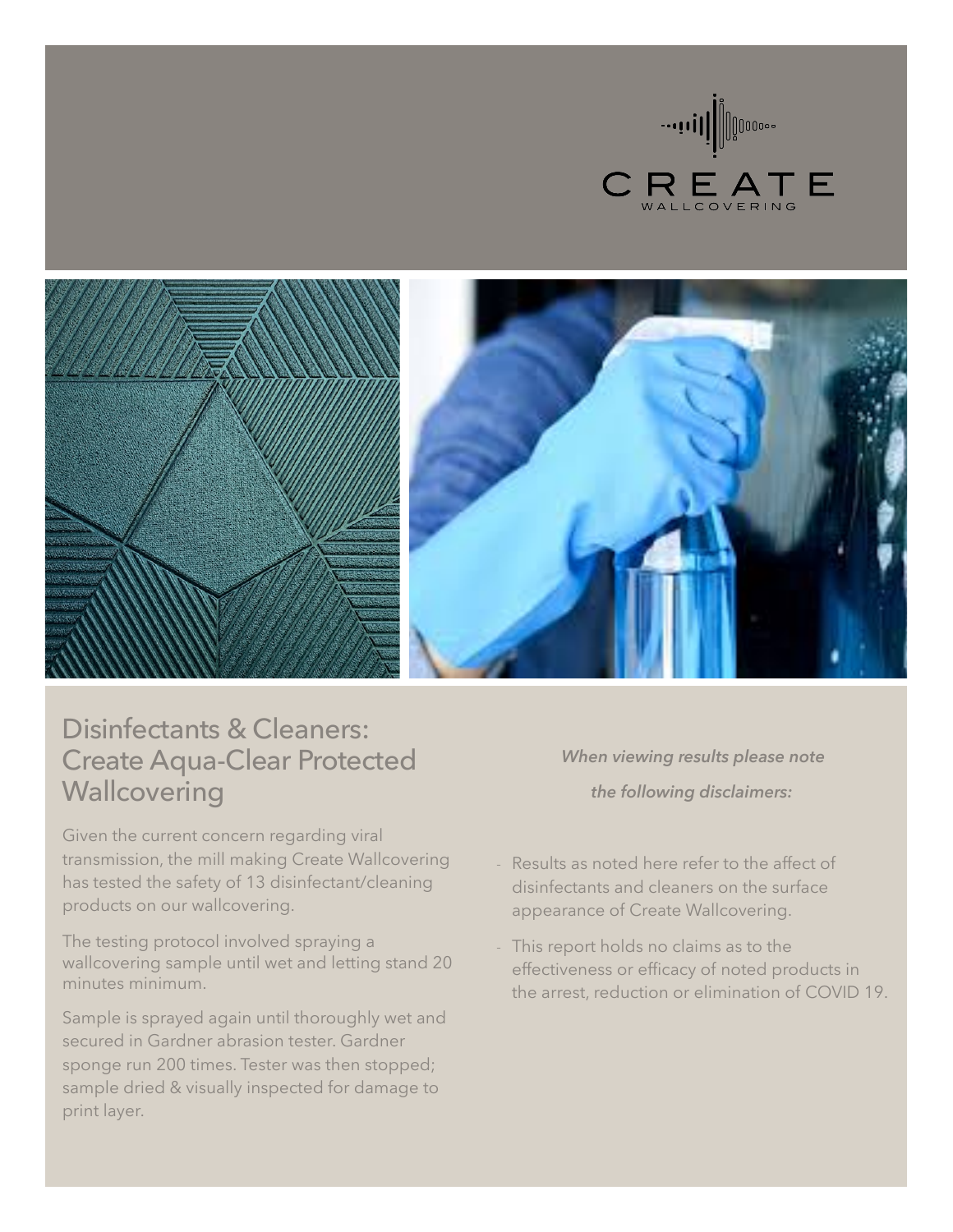





## Disinfectants & Cleaners: Create Aqua-Clear Protected **Wallcovering**

Given the current concern regarding viral transmission, the mill making Create Wallcovering has tested the safety of 13 disinfectant/cleaning products on our wallcovering.

The testing protocol involved spraying a wallcovering sample until wet and letting stand 20 minutes minimum.

Sample is sprayed again until thoroughly wet and secured in Gardner abrasion tester. Gardner sponge run 200 times. Tester was then stopped; sample dried & visually inspected for damage to print layer.

*When viewing results please note the following disclaimers:* 

- Results as noted here refer to the affect of disinfectants and cleaners on the surface appearance of Create Wallcovering.
- This report holds no claims as to the effectiveness or efficacy of noted products in the arrest, reduction or elimination of COVID 19.